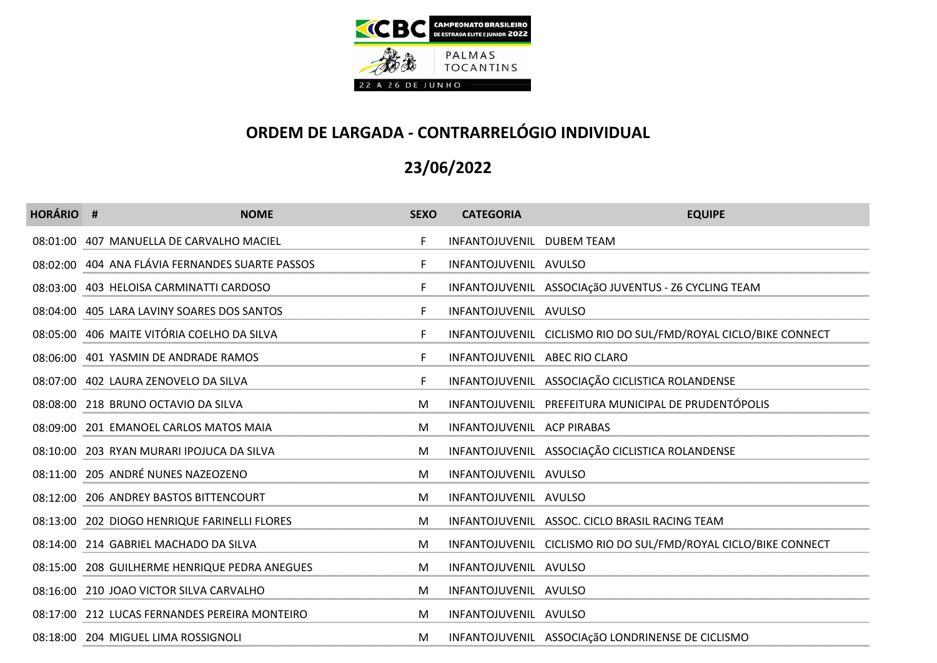

| <b>HORÁRIO #</b> | <b>NOME</b>                                     | <b>SEXO</b> | <b>CATEGORIA</b>              | <b>EQUIPE</b>                                                   |
|------------------|-------------------------------------------------|-------------|-------------------------------|-----------------------------------------------------------------|
|                  | 08:01:00 407 MANUELLA DE CARVALHO MACIEL        | F.          | INFANTOJUVENIL DUBEM TEAM     |                                                                 |
|                  | 08:02:00 404 ANA FLÁVIA FERNANDES SUARTE PASSOS | F.          | INFANTOJUVENIL AVULSO         |                                                                 |
|                  | 08:03:00 403 HELOISA CARMINATTI CARDOSO         | F.          |                               | INFANTOJUVENIL ASSOCIAçãO JUVENTUS - Z6 CYCLING TEAM            |
|                  | 08:04:00 405 LARA LAVINY SOARES DOS SANTOS      | F.          | INFANTOJUVENIL AVULSO         |                                                                 |
|                  | 08:05:00 406 MAITE VITÓRIA COELHO DA SILVA      | F.          |                               | INFANTOJUVENIL CICLISMO RIO DO SUL/FMD/ROYAL CICLO/BIKE CONNECT |
|                  | 08:06:00 401 YASMIN DE ANDRADE RAMOS            | F.          | INFANTOJUVENIL ABEC RIO CLARO |                                                                 |
|                  | 08:07:00 402 LAURA ZENOVELO DA SILVA            | F.          |                               | INFANTOJUVENIL ASSOCIAÇÃO CICLISTICA ROLANDENSE                 |
|                  | 08:08:00 218 BRUNO OCTAVIO DA SILVA             | M           |                               | INFANTOJUVENIL PREFEITURA MUNICIPAL DE PRUDENTÓPOLIS            |
|                  | 08:09:00 201 EMANOEL CARLOS MATOS MAIA          | M           | INFANTOJUVENIL ACP PIRABAS    |                                                                 |
|                  | 08:10:00 203 RYAN MURARI IPOJUCA DA SILVA       | M           |                               | INFANTOJUVENIL ASSOCIAÇÃO CICLISTICA ROLANDENSE                 |
|                  | 08:11:00 205 ANDRÉ NUNES NAZEOZENO              | M           | INFANTOJUVENIL AVULSO         |                                                                 |
|                  | 08:12:00 206 ANDREY BASTOS BITTENCOURT          | M           | INFANTOJUVENIL AVULSO         |                                                                 |
|                  | 08:13:00 202 DIOGO HENRIQUE FARINELLI FLORES    | M           |                               | INFANTOJUVENIL ASSOC. CICLO BRASIL RACING TEAM                  |
|                  | 08:14:00 214 GABRIEL MACHADO DA SILVA           | M           |                               | INFANTOJUVENIL CICLISMO RIO DO SUL/FMD/ROYAL CICLO/BIKE CONNECT |
|                  | 08:15:00 208 GUILHERME HENRIQUE PEDRA ANEGUES   | M           | INFANTOJUVENIL AVULSO         |                                                                 |
|                  | 08:16:00 210 JOAO VICTOR SILVA CARVALHO         | M           | INFANTOJUVENIL AVULSO         |                                                                 |
|                  | 08:17:00 212 LUCAS FERNANDES PEREIRA MONTEIRO   | M           | INFANTOJUVENIL AVULSO         |                                                                 |
|                  | 08:18:00 204 MIGUEL LIMA ROSSIGNOLI             | M           |                               | INFANTOJUVENIL ASSOCIAÇãO LONDRINENSE DE CICLISMO               |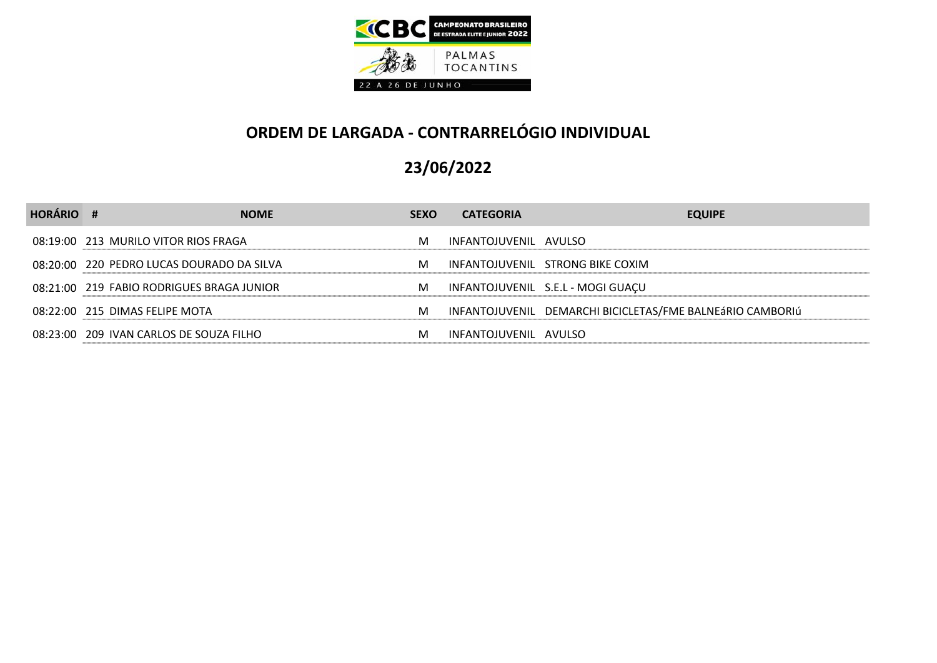

| <b>HORÁRIO #</b> |                                           | <b>NOME</b> | <b>SEXO</b> | <b>CATEGORIA</b>      | <b>EQUIPE</b>                                             |
|------------------|-------------------------------------------|-------------|-------------|-----------------------|-----------------------------------------------------------|
|                  | 08:19:00 213 MURILO VITOR RIOS FRAGA      |             | M           | INFANTOJUVENIL AVULSO |                                                           |
|                  | 08:20:00 220 PEDRO LUCAS DOURADO DA SILVA |             | м           |                       | INFANTOJUVENIL STRONG BIKE COXIM                          |
|                  | 08:21:00 219 FABIO RODRIGUES BRAGA JUNIOR |             | M           |                       | INFANTOJUVENIL S.E.L - MOGI GUAÇU                         |
|                  | 08:22:00 215 DIMAS FELIPE MOTA            |             | M           |                       | INFANTOJUVENIL DEMARCHI BICICLETAS/FME BALNEÁRIO CAMBORIÚ |
|                  | 08:23:00 209 IVAN CARLOS DE SOUZA FILHO   |             | M           | INFANTOJUVENIL AVULSO |                                                           |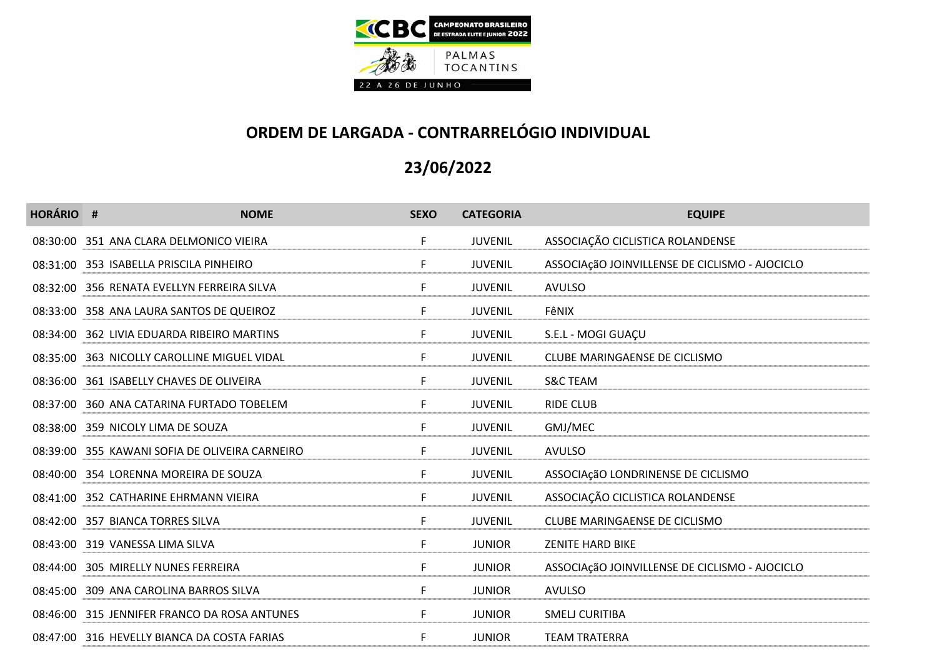

| <b>HORÁRIO #</b> | <b>NOME</b>                                    | <b>SEXO</b> | <b>CATEGORIA</b> | <b>EQUIPE</b>                                  |
|------------------|------------------------------------------------|-------------|------------------|------------------------------------------------|
|                  | 08:30:00 351 ANA CLARA DELMONICO VIEIRA        | F.          | <b>JUVENIL</b>   | ASSOCIAÇÃO CICLISTICA ROLANDENSE               |
|                  | 08:31:00 353 ISABELLA PRISCILA PINHEIRO        | F.          | <b>JUVENIL</b>   | ASSOCIAçãO JOINVILLENSE DE CICLISMO - AJOCICLO |
|                  | 08:32:00 356 RENATA EVELLYN FERREIRA SILVA     | F.          | <b>JUVENIL</b>   | <b>AVULSO</b>                                  |
|                  | 08:33:00 358 ANA LAURA SANTOS DE QUEIROZ       | F.          | <b>JUVENIL</b>   | FêNIX                                          |
|                  | 08:34:00 362 LIVIA EDUARDA RIBEIRO MARTINS     | F.          | <b>JUVENIL</b>   | S.E.L - MOGI GUAÇU                             |
|                  | 08:35:00 363 NICOLLY CAROLLINE MIGUEL VIDAL    | F.          | <b>JUVENIL</b>   | CLUBE MARINGAENSE DE CICLISMO                  |
|                  | 08:36:00 361 ISABELLY CHAVES DE OLIVEIRA       | F.          | <b>JUVENIL</b>   | <b>S&amp;C TEAM</b>                            |
|                  | 08:37:00 360 ANA CATARINA FURTADO TOBELEM      | F.          | <b>JUVENIL</b>   | <b>RIDE CLUB</b>                               |
|                  | 08:38:00 359 NICOLY LIMA DE SOUZA              | F.          | <b>JUVENIL</b>   | GMJ/MEC                                        |
|                  | 08:39:00 355 KAWANI SOFIA DE OLIVEIRA CARNEIRO | F           | <b>JUVENIL</b>   | <b>AVULSO</b>                                  |
|                  | 08:40:00 354 LORENNA MOREIRA DE SOUZA          | F.          | <b>JUVENIL</b>   | ASSOCIAçãO LONDRINENSE DE CICLISMO             |
|                  | 08:41:00 352 CATHARINE EHRMANN VIEIRA          | F.          | <b>JUVENIL</b>   | ASSOCIAÇÃO CICLISTICA ROLANDENSE               |
|                  | 08:42:00 357 BIANCA TORRES SILVA               | F           | <b>JUVENIL</b>   | CLUBE MARINGAENSE DE CICLISMO                  |
|                  | 08:43:00 319 VANESSA LIMA SILVA                | F           | <b>JUNIOR</b>    | <b>ZENITE HARD BIKE</b>                        |
|                  | 08:44:00 305 MIRELLY NUNES FERREIRA            | F.          | <b>JUNIOR</b>    | ASSOCIAçãO JOINVILLENSE DE CICLISMO - AJOCICLO |
|                  | 08:45:00 309 ANA CAROLINA BARROS SILVA         | F.          | <b>JUNIOR</b>    | <b>AVULSO</b>                                  |
|                  | 08:46:00 315 JENNIFER FRANCO DA ROSA ANTUNES   | F.          | <b>JUNIOR</b>    | <b>SMELJ CURITIBA</b>                          |
|                  | 08:47:00 316 HEVELLY BIANCA DA COSTA FARIAS    | F           | <b>JUNIOR</b>    | <b>TEAM TRATERRA</b>                           |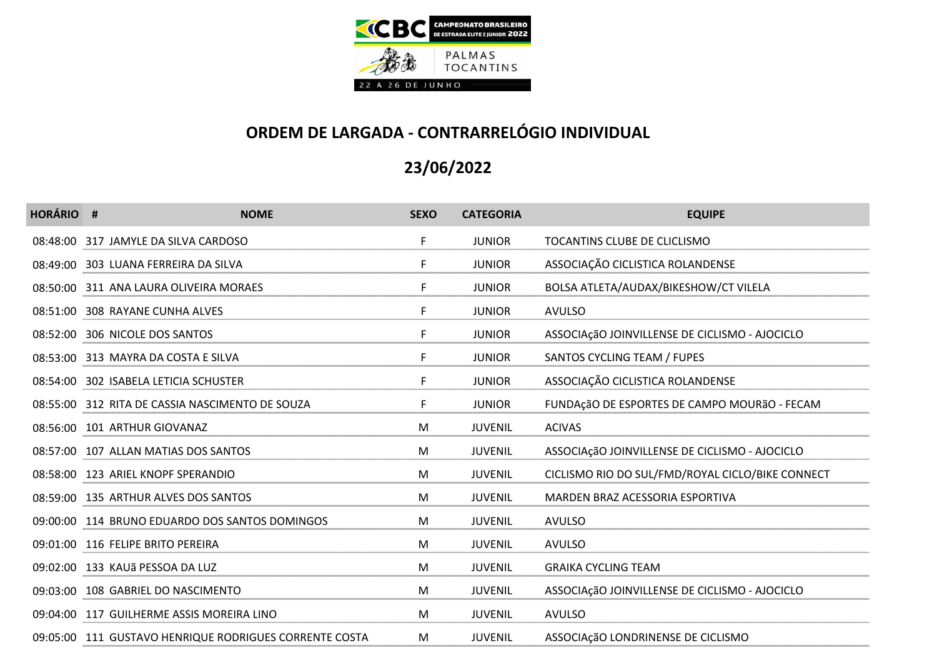

| <b>HORÁRIO #</b> | <b>NOME</b>                                            | <b>SEXO</b> | <b>CATEGORIA</b> | <b>EQUIPE</b>                                    |
|------------------|--------------------------------------------------------|-------------|------------------|--------------------------------------------------|
|                  | 08:48:00 317 JAMYLE DA SILVA CARDOSO                   | F.          | <b>JUNIOR</b>    | TOCANTINS CLUBE DE CLICLISMO                     |
|                  | 08:49:00 303 LUANA FERREIRA DA SILVA                   | F.          | <b>JUNIOR</b>    | ASSOCIAÇÃO CICLISTICA ROLANDENSE                 |
|                  | 08:50:00 311 ANA LAURA OLIVEIRA MORAES                 | F           | <b>JUNIOR</b>    | BOLSA ATLETA/AUDAX/BIKESHOW/CT VILELA            |
|                  | 08:51:00 308 RAYANE CUNHA ALVES                        | F           | <b>JUNIOR</b>    | <b>AVULSO</b>                                    |
|                  | 08:52:00 306 NICOLE DOS SANTOS                         | F.          | <b>JUNIOR</b>    | ASSOCIAçãO JOINVILLENSE DE CICLISMO - AJOCICLO   |
|                  | 08:53:00 313 MAYRA DA COSTA E SILVA                    | F.          | <b>JUNIOR</b>    | SANTOS CYCLING TEAM / FUPES                      |
|                  | 08:54:00 302 ISABELA LETICIA SCHUSTER                  | F.          | <b>JUNIOR</b>    | ASSOCIAÇÃO CICLISTICA ROLANDENSE                 |
|                  | 08:55:00 312 RITA DE CASSIA NASCIMENTO DE SOUZA        | F.          | <b>JUNIOR</b>    | FUNDAçãO DE ESPORTES DE CAMPO MOURãO - FECAM     |
|                  | 08:56:00 101 ARTHUR GIOVANAZ                           | M           | <b>JUVENIL</b>   | <b>ACIVAS</b>                                    |
|                  | 08:57:00 107 ALLAN MATIAS DOS SANTOS                   | M           | <b>JUVENIL</b>   | ASSOCIAçãO JOINVILLENSE DE CICLISMO - AJOCICLO   |
|                  | 08:58:00 123 ARIEL KNOPF SPERANDIO                     | M           | <b>JUVENIL</b>   | CICLISMO RIO DO SUL/FMD/ROYAL CICLO/BIKE CONNECT |
|                  | 08:59:00 135 ARTHUR ALVES DOS SANTOS                   | M           | <b>JUVENIL</b>   | MARDEN BRAZ ACESSORIA ESPORTIVA                  |
|                  | 09:00:00 114 BRUNO EDUARDO DOS SANTOS DOMINGOS         | M           | <b>JUVENIL</b>   | <b>AVULSO</b>                                    |
|                  | 09:01:00 116 FELIPE BRITO PEREIRA                      | M           | <b>JUVENIL</b>   | <b>AVULSO</b>                                    |
|                  | 09:02:00 133 KAUã PESSOA DA LUZ                        | M           | <b>JUVENIL</b>   | <b>GRAIKA CYCLING TEAM</b>                       |
|                  | 09:03:00 108 GABRIEL DO NASCIMENTO                     | M           | <b>JUVENIL</b>   | ASSOCIAçãO JOINVILLENSE DE CICLISMO - AJOCICLO   |
|                  | 09:04:00 117 GUILHERME ASSIS MOREIRA LINO              | M           | <b>JUVENIL</b>   | <b>AVULSO</b>                                    |
|                  | 09:05:00 111 GUSTAVO HENRIQUE RODRIGUES CORRENTE COSTA | M           | <b>JUVENIL</b>   | ASSOCIAçãO LONDRINENSE DE CICLISMO               |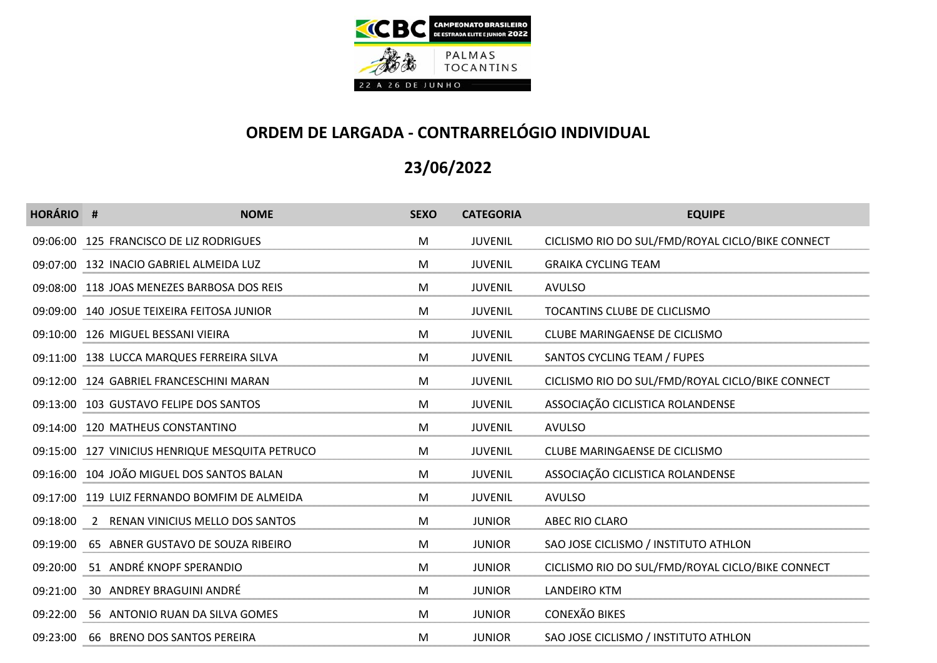

| <b>HORÁRIO #</b> | <b>NOME</b>                                     | <b>SEXO</b> | <b>CATEGORIA</b> | <b>EQUIPE</b>                                    |
|------------------|-------------------------------------------------|-------------|------------------|--------------------------------------------------|
|                  | 09:06:00 125 FRANCISCO DE LIZ RODRIGUES         | M           | <b>JUVENIL</b>   | CICLISMO RIO DO SUL/FMD/ROYAL CICLO/BIKE CONNECT |
|                  | 09:07:00 132 INACIO GABRIEL ALMEIDA LUZ         | M           | <b>JUVENIL</b>   | <b>GRAIKA CYCLING TEAM</b>                       |
|                  | 09:08:00 118 JOAS MENEZES BARBOSA DOS REIS      | M           | <b>JUVENIL</b>   | <b>AVULSO</b>                                    |
|                  | 09:09:00 140 JOSUE TEIXEIRA FEITOSA JUNIOR      | M           | <b>JUVENIL</b>   | TOCANTINS CLUBE DE CLICLISMO                     |
|                  | 09:10:00 126 MIGUEL BESSANI VIEIRA              | M           | <b>JUVENIL</b>   | CLUBE MARINGAENSE DE CICLISMO                    |
|                  | 09:11:00 138 LUCCA MARQUES FERREIRA SILVA       | M           | <b>JUVENIL</b>   | SANTOS CYCLING TEAM / FUPES                      |
|                  | 09:12:00 124 GABRIEL FRANCESCHINI MARAN         | M           | <b>JUVENIL</b>   | CICLISMO RIO DO SUL/FMD/ROYAL CICLO/BIKE CONNECT |
|                  | 09:13:00 103 GUSTAVO FELIPE DOS SANTOS          | M           | <b>JUVENIL</b>   | ASSOCIAÇÃO CICLISTICA ROLANDENSE                 |
|                  | 09:14:00 120 MATHEUS CONSTANTINO                | M           | <b>JUVENIL</b>   | <b>AVULSO</b>                                    |
|                  | 09:15:00 127 VINICIUS HENRIQUE MESQUITA PETRUCO | M           | <b>JUVENIL</b>   | CLUBE MARINGAENSE DE CICLISMO                    |
|                  | 09:16:00 104 JOÃO MIGUEL DOS SANTOS BALAN       | M           | <b>JUVENIL</b>   | ASSOCIAÇÃO CICLISTICA ROLANDENSE                 |
|                  | 09:17:00 119 LUIZ FERNANDO BOMFIM DE ALMEIDA    | M           | <b>JUVENIL</b>   | <b>AVULSO</b>                                    |
|                  | 09:18:00 2 RENAN VINICIUS MELLO DOS SANTOS      | M           | <b>JUNIOR</b>    | ABEC RIO CLARO                                   |
|                  | 09:19:00 65 ABNER GUSTAVO DE SOUZA RIBEIRO      | M           | <b>JUNIOR</b>    | SAO JOSE CICLISMO / INSTITUTO ATHLON             |
|                  | 09:20:00 51 ANDRÉ KNOPF SPERANDIO               | M           | <b>JUNIOR</b>    | CICLISMO RIO DO SUL/FMD/ROYAL CICLO/BIKE CONNECT |
|                  | 09:21:00 30 ANDREY BRAGUINI ANDRÉ               | M           | <b>JUNIOR</b>    | <b>LANDEIRO KTM</b>                              |
|                  | 09:22:00 56 ANTONIO RUAN DA SILVA GOMES         | M           | <b>JUNIOR</b>    | <b>CONEXÃO BIKES</b>                             |
|                  | 09:23:00 66 BRENO DOS SANTOS PEREIRA            | M           | <b>JUNIOR</b>    | SAO JOSE CICLISMO / INSTITUTO ATHLON             |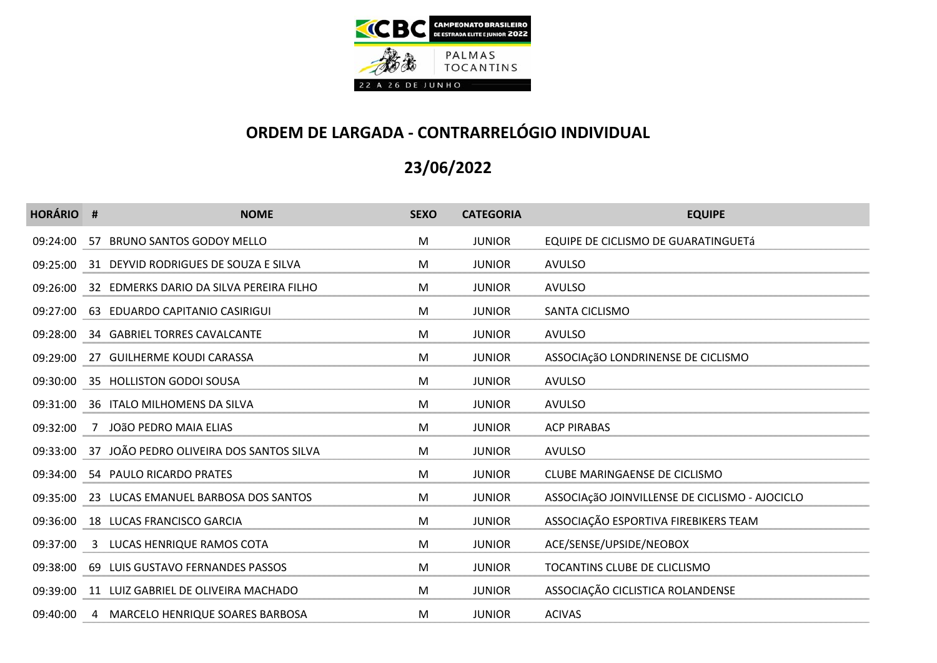

| <b>HORÁRIO #</b> | <b>NOME</b>                                      | <b>SEXO</b> | <b>CATEGORIA</b> | <b>EQUIPE</b>                                  |
|------------------|--------------------------------------------------|-------------|------------------|------------------------------------------------|
|                  | 09:24:00 57 BRUNO SANTOS GODOY MELLO             | M           | <b>JUNIOR</b>    | EQUIPE DE CICLISMO DE GUARATINGUETÁ            |
|                  | 09:25:00 31 DEYVID RODRIGUES DE SOUZA E SILVA    | M           | <b>JUNIOR</b>    | <b>AVULSO</b>                                  |
|                  | 09:26:00 32 EDMERKS DARIO DA SILVA PEREIRA FILHO | M           | <b>JUNIOR</b>    | <b>AVULSO</b>                                  |
|                  | 09:27:00 63 EDUARDO CAPITANIO CASIRIGUI          | M           | <b>JUNIOR</b>    | SANTA CICLISMO                                 |
|                  | 09:28:00 34 GABRIEL TORRES CAVALCANTE            | M           | <b>JUNIOR</b>    | <b>AVULSO</b>                                  |
|                  | 09:29:00 27 GUILHERME KOUDI CARASSA              | M           | <b>JUNIOR</b>    | ASSOCIAçãO LONDRINENSE DE CICLISMO             |
|                  | 09:30:00 35 HOLLISTON GODOI SOUSA                | M           | <b>JUNIOR</b>    | <b>AVULSO</b>                                  |
|                  | 09:31:00 36 ITALO MILHOMENS DA SILVA             | M           | <b>JUNIOR</b>    | <b>AVULSO</b>                                  |
|                  | 09:32:00 7 JOÃO PEDRO MAIA ELIAS                 | M           | <b>JUNIOR</b>    | <b>ACP PIRABAS</b>                             |
|                  | 09:33:00 37 JOÃO PEDRO OLIVEIRA DOS SANTOS SILVA | M           | <b>JUNIOR</b>    | <b>AVULSO</b>                                  |
|                  | 09:34:00 54 PAULO RICARDO PRATES                 | M           | <b>JUNIOR</b>    | CLUBE MARINGAENSE DE CICLISMO                  |
|                  | 09:35:00 23 LUCAS EMANUEL BARBOSA DOS SANTOS     | M           | <b>JUNIOR</b>    | ASSOCIAçãO JOINVILLENSE DE CICLISMO - AJOCICLO |
|                  | 09:36:00 18 LUCAS FRANCISCO GARCIA               | M           | <b>JUNIOR</b>    | ASSOCIAÇÃO ESPORTIVA FIREBIKERS TEAM           |
|                  | 09:37:00 3 LUCAS HENRIQUE RAMOS COTA             | M           | <b>JUNIOR</b>    | ACE/SENSE/UPSIDE/NEOBOX                        |
|                  | 09:38:00 69 LUIS GUSTAVO FERNANDES PASSOS        | M           | <b>JUNIOR</b>    | TOCANTINS CLUBE DE CLICLISMO                   |
|                  | 09:39:00 11 LUIZ GABRIEL DE OLIVEIRA MACHADO     | M           | <b>JUNIOR</b>    | ASSOCIAÇÃO CICLISTICA ROLANDENSE               |
|                  | 09:40:00 4 MARCELO HENRIQUE SOARES BARBOSA       | M           | <b>JUNIOR</b>    | <b>ACIVAS</b>                                  |
|                  |                                                  |             |                  |                                                |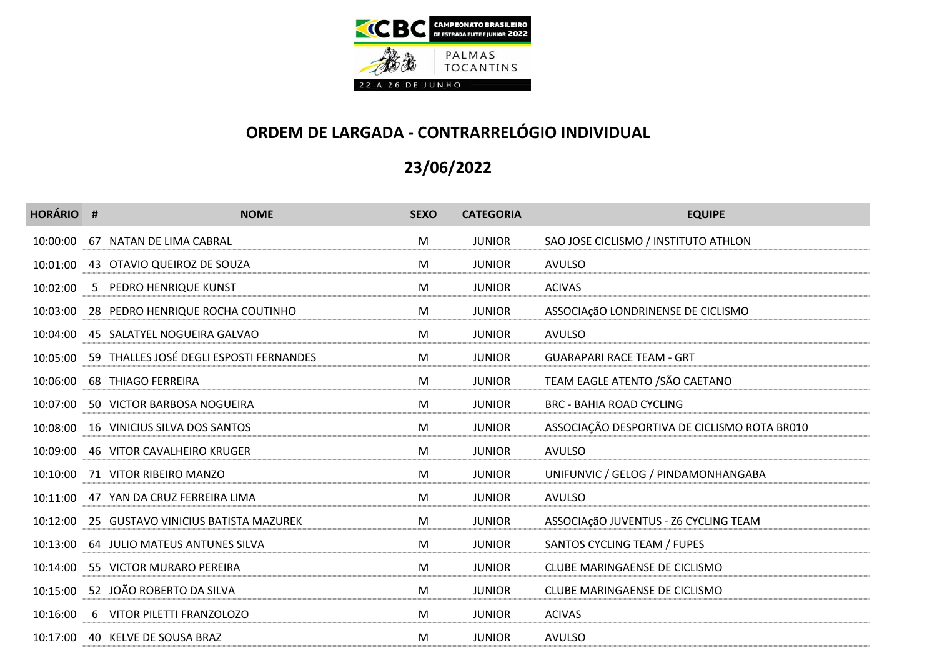

| <b>HORÁRIO #</b> | <b>NOME</b>                                      | <b>SEXO</b> | <b>CATEGORIA</b> | <b>EQUIPE</b>                                |
|------------------|--------------------------------------------------|-------------|------------------|----------------------------------------------|
|                  | 10:00:00 67 NATAN DE LIMA CABRAL                 | M           | <b>JUNIOR</b>    | SAO JOSE CICLISMO / INSTITUTO ATHLON         |
|                  | 10:01:00 43 OTAVIO QUEIROZ DE SOUZA              | M           | <b>JUNIOR</b>    | <b>AVULSO</b>                                |
|                  | 10:02:00 5 PEDRO HENRIQUE KUNST                  | M           | <b>JUNIOR</b>    | <b>ACIVAS</b>                                |
|                  | 10:03:00 28 PEDRO HENRIQUE ROCHA COUTINHO        | M           | <b>JUNIOR</b>    | ASSOCIAçãO LONDRINENSE DE CICLISMO           |
|                  | 10:04:00 45 SALATYEL NOGUEIRA GALVAO             | M           | <b>JUNIOR</b>    | <b>AVULSO</b>                                |
|                  | 10:05:00 59 THALLES JOSÉ DEGLI ESPOSTI FERNANDES | M           | <b>JUNIOR</b>    | <b>GUARAPARI RACE TEAM - GRT</b>             |
|                  | 10:06:00 68 THIAGO FERREIRA                      | M           | <b>JUNIOR</b>    | TEAM EAGLE ATENTO / SÃO CAETANO              |
|                  | 10:07:00 50 VICTOR BARBOSA NOGUEIRA              | M           | <b>JUNIOR</b>    | <b>BRC - BAHIA ROAD CYCLING</b>              |
|                  | 10:08:00 16 VINICIUS SILVA DOS SANTOS            | M           | <b>JUNIOR</b>    | ASSOCIAÇÃO DESPORTIVA DE CICLISMO ROTA BR010 |
|                  | 10:09:00 46 VITOR CAVALHEIRO KRUGER              | M           | <b>JUNIOR</b>    | <b>AVULSO</b>                                |
|                  | 10:10:00 71 VITOR RIBEIRO MANZO                  | M           | <b>JUNIOR</b>    | UNIFUNVIC / GELOG / PINDAMONHANGABA          |
|                  | 10:11:00 47 YAN DA CRUZ FERREIRA LIMA            | M           | <b>JUNIOR</b>    | <b>AVULSO</b>                                |
|                  | 10:12:00 25 GUSTAVO VINICIUS BATISTA MAZUREK     | M           | <b>JUNIOR</b>    | ASSOCIAçãO JUVENTUS - Z6 CYCLING TEAM        |
|                  | 10:13:00 64 JULIO MATEUS ANTUNES SILVA           | M           | <b>JUNIOR</b>    | SANTOS CYCLING TEAM / FUPES                  |
|                  | 10:14:00 55 VICTOR MURARO PEREIRA                | M           | <b>JUNIOR</b>    | CLUBE MARINGAENSE DE CICLISMO                |
|                  | 10:15:00 52 JOÃO ROBERTO DA SILVA                | M           | <b>JUNIOR</b>    | CLUBE MARINGAENSE DE CICLISMO                |
|                  | 10:16:00 6 VITOR PILETTI FRANZOLOZO              | M           | <b>JUNIOR</b>    | <b>ACIVAS</b>                                |
|                  | 10:17:00 40 KELVE DE SOUSA BRAZ                  | M           | <b>JUNIOR</b>    | <b>AVULSO</b>                                |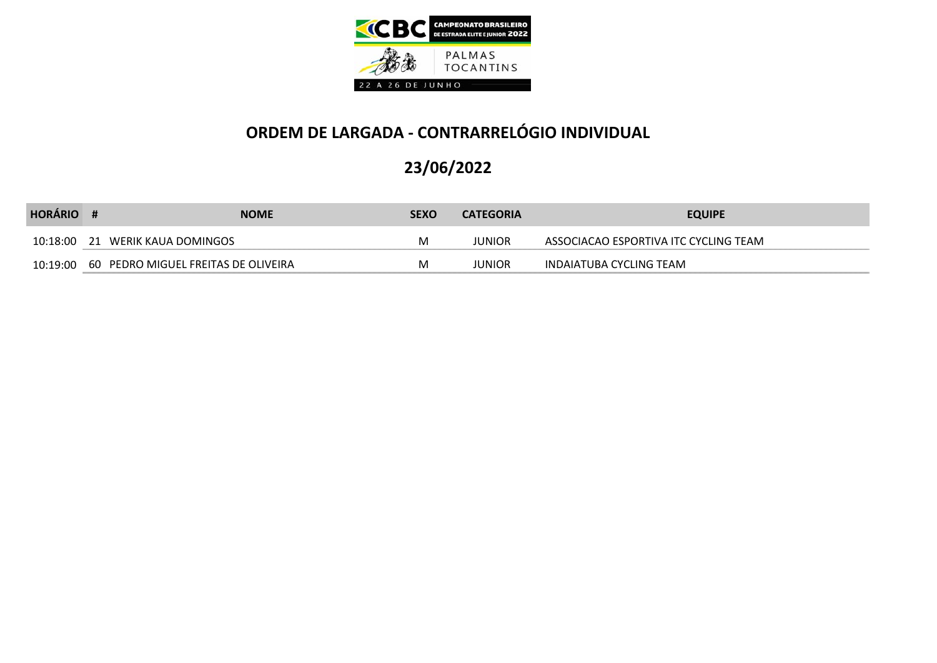

| <b>HORÁRIO</b> | <b>NOME</b>                                      | <b>SEXO</b> | <b>CATEGORIA</b> | <b>EQUIPE</b>                         |
|----------------|--------------------------------------------------|-------------|------------------|---------------------------------------|
|                | 10:18:00 21 WERIK KAUA DOMINGOS                  |             | JUNIOR           | ASSOCIACAO ESPORTIVA ITC CYCLING TEAM |
|                | 10:19:00   60   PEDRO MIGUEL FREITAS DE OLIVEIRA |             | JUNIOR           | INDAIATUBA CYCLING TEAM               |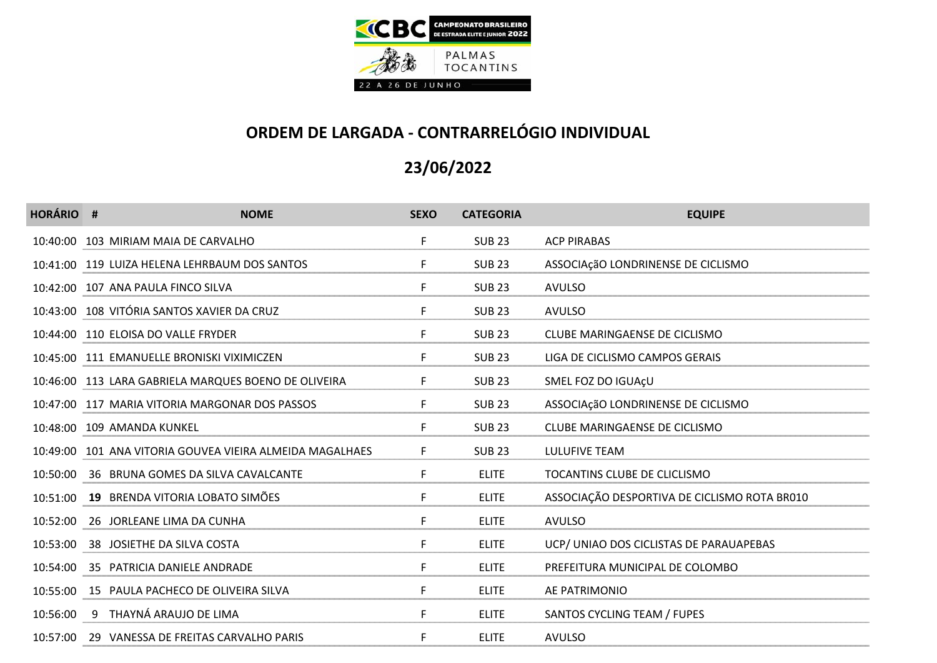

| <b>HORÁRIO #</b> | <b>NOME</b>                                              | <b>SEXO</b> | <b>CATEGORIA</b> | <b>EQUIPE</b>                                |
|------------------|----------------------------------------------------------|-------------|------------------|----------------------------------------------|
|                  | 10:40:00 103 MIRIAM MAIA DE CARVALHO                     | F.          | <b>SUB 23</b>    | <b>ACP PIRABAS</b>                           |
|                  | 10:41:00 119 LUIZA HELENA LEHRBAUM DOS SANTOS            | F.          | <b>SUB 23</b>    | ASSOCIAçãO LONDRINENSE DE CICLISMO           |
|                  | 10:42:00 107 ANA PAULA FINCO SILVA                       | F.          | <b>SUB 23</b>    | <b>AVULSO</b>                                |
|                  | 10:43:00 108 VITÓRIA SANTOS XAVIER DA CRUZ               | F.          | <b>SUB 23</b>    | <b>AVULSO</b>                                |
|                  | 10:44:00 110 ELOISA DO VALLE FRYDER                      | F.          | <b>SUB 23</b>    | CLUBE MARINGAENSE DE CICLISMO                |
|                  | 10:45:00 111 EMANUELLE BRONISKI VIXIMICZEN               | F.          | <b>SUB 23</b>    | LIGA DE CICLISMO CAMPOS GERAIS               |
|                  | 10:46:00 113 LARA GABRIELA MARQUES BOENO DE OLIVEIRA     | F.          | <b>SUB 23</b>    | SMEL FOZ DO IGUAÇU                           |
|                  | 10:47:00 117 MARIA VITORIA MARGONAR DOS PASSOS           | F.          | <b>SUB 23</b>    | ASSOCIAçãO LONDRINENSE DE CICLISMO           |
|                  | 10:48:00 109 AMANDA KUNKEL                               | F.          | <b>SUB 23</b>    | CLUBE MARINGAENSE DE CICLISMO                |
|                  | 10:49:00 101 ANA VITORIA GOUVEA VIEIRA ALMEIDA MAGALHAES | F.          | <b>SUB 23</b>    | LULUFIVE TEAM                                |
|                  | 10:50:00 36 BRUNA GOMES DA SILVA CAVALCANTE              | F.          | <b>ELITE</b>     | TOCANTINS CLUBE DE CLICLISMO                 |
|                  | 10:51:00 19 BRENDA VITORIA LOBATO SIMÕES                 | F.          | <b>ELITE</b>     | ASSOCIAÇÃO DESPORTIVA DE CICLISMO ROTA BR010 |
|                  | 10:52:00 26 JORLEANE LIMA DA CUNHA                       | F.          | <b>ELITE</b>     | <b>AVULSO</b>                                |
|                  | 10:53:00 38 JOSIETHE DA SILVA COSTA                      | F.          | <b>ELITE</b>     | UCP/ UNIAO DOS CICLISTAS DE PARAUAPEBAS      |
|                  | 10:54:00 35 PATRICIA DANIELE ANDRADE                     | F.          | <b>ELITE</b>     | PREFEITURA MUNICIPAL DE COLOMBO              |
|                  | 10:55:00 15 PAULA PACHECO DE OLIVEIRA SILVA              | F.          | <b>ELITE</b>     | AE PATRIMONIO                                |
|                  | 10:56:00 9 THAYNÁ ARAUJO DE LIMA                         | F.          | <b>ELITE</b>     | SANTOS CYCLING TEAM / FUPES                  |
|                  | 10:57:00 29 VANESSA DE FREITAS CARVALHO PARIS            | F           | <b>ELITE</b>     | <b>AVULSO</b>                                |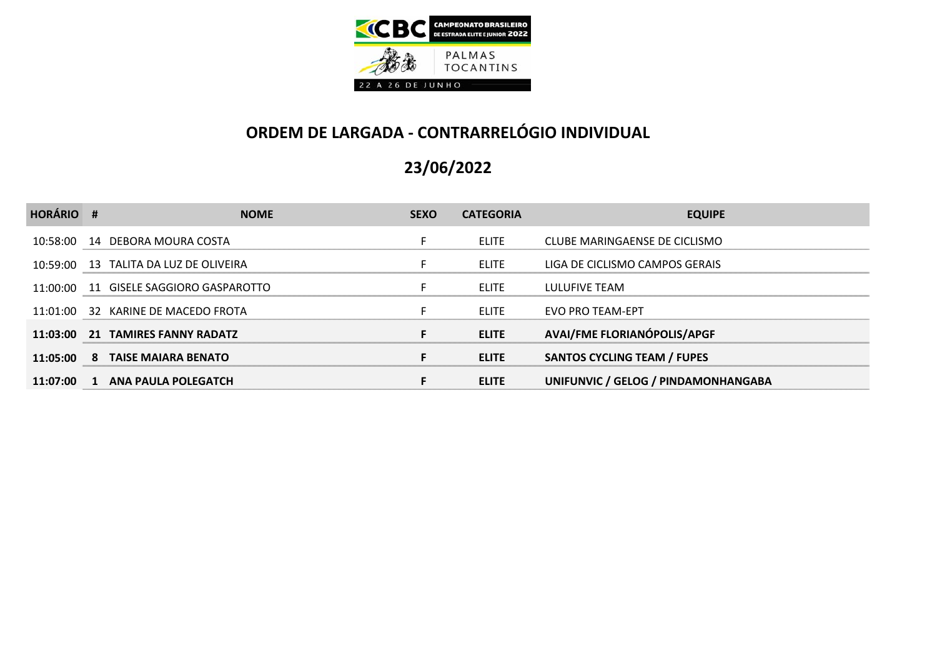

| <b>HORÁRIO #</b> | <b>NOME</b>                              | <b>SEXO</b> | <b>CATEGORIA</b> | <b>EQUIPE</b>                       |
|------------------|------------------------------------------|-------------|------------------|-------------------------------------|
|                  | 10:58:00  14  DEBORA MOURA COSTA         |             | <b>ELITE</b>     | CLUBE MARINGAENSE DE CICLISMO       |
|                  | 10:59:00 13 TALITA DA LUZ DE OLIVEIRA    | F.          | <b>ELITE</b>     | LIGA DE CICLISMO CAMPOS GERAIS      |
|                  | 11:00:00  11  GISELE SAGGIORO GASPAROTTO |             | <b>ELITE</b>     | LULUFIVE TEAM                       |
|                  | 11:01:00 32 KARINE DE MACEDO FROTA       | F.          | <b>ELITE</b>     | EVO PRO TEAM-EPT                    |
|                  | 11:03:00 21 TAMIRES FANNY RADATZ         | F.          | <b>ELITE</b>     | <b>AVAI/FME FLORIANÓPOLIS/APGF</b>  |
|                  | 11:05:00 8 TAISE MAIARA BENATO           | F.          | <b>ELITE</b>     | <b>SANTOS CYCLING TEAM / FUPES</b>  |
| 11:07:00 1       | ANA PAULA POLEGATCH                      |             | <b>ELITE</b>     | UNIFUNVIC / GELOG / PINDAMONHANGABA |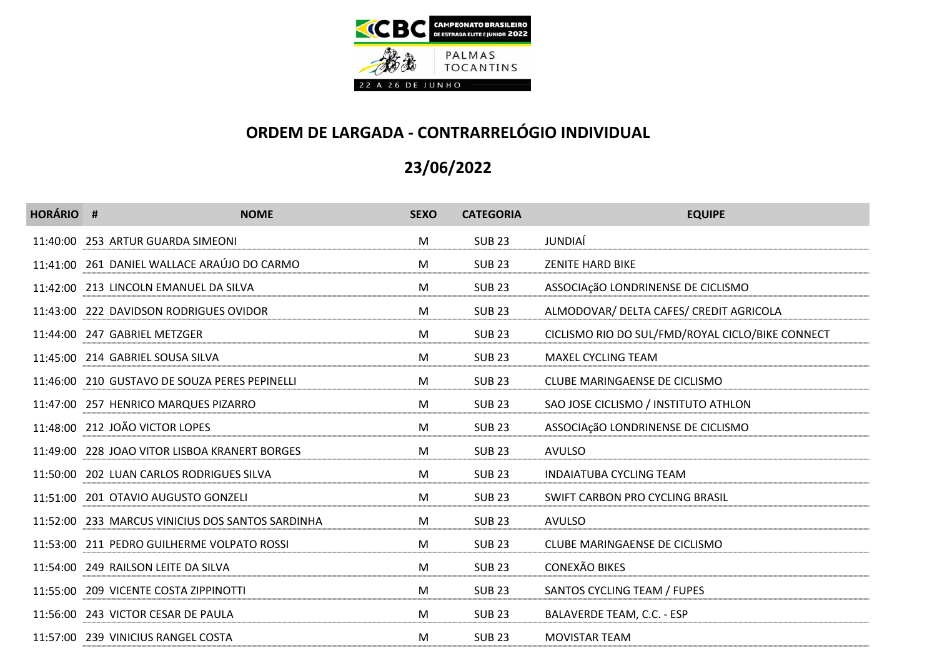

| <b>HORÁRIO #</b> | <b>NOME</b>                                      | <b>SEXO</b> | <b>CATEGORIA</b> | <b>EQUIPE</b>                                    |
|------------------|--------------------------------------------------|-------------|------------------|--------------------------------------------------|
|                  | 11:40:00 253 ARTUR GUARDA SIMEONI                | M           | <b>SUB 23</b>    | JUNDIAÍ                                          |
|                  | 11:41:00 261 DANIEL WALLACE ARAÚJO DO CARMO      | M           | <b>SUB 23</b>    | <b>ZENITE HARD BIKE</b>                          |
|                  | 11:42:00 213 LINCOLN EMANUEL DA SILVA            | M           | <b>SUB 23</b>    | ASSOCIAçãO LONDRINENSE DE CICLISMO               |
|                  | 11:43:00 222 DAVIDSON RODRIGUES OVIDOR           | M           | <b>SUB 23</b>    | ALMODOVAR/ DELTA CAFES/ CREDIT AGRICOLA          |
|                  | 11:44:00 247 GABRIEL METZGER                     | M           | <b>SUB 23</b>    | CICLISMO RIO DO SUL/FMD/ROYAL CICLO/BIKE CONNECT |
|                  | 11:45:00 214 GABRIEL SOUSA SILVA                 | M           | <b>SUB 23</b>    | MAXEL CYCLING TEAM                               |
|                  | 11:46:00 210 GUSTAVO DE SOUZA PERES PEPINELLI    | M           | <b>SUB 23</b>    | CLUBE MARINGAENSE DE CICLISMO                    |
|                  | 11:47:00 257 HENRICO MARQUES PIZARRO             | M           | <b>SUB 23</b>    | SAO JOSE CICLISMO / INSTITUTO ATHLON             |
|                  | 11:48:00 212 JOÃO VICTOR LOPES                   | M           | <b>SUB 23</b>    | ASSOCIAçãO LONDRINENSE DE CICLISMO               |
|                  | 11:49:00 228 JOAO VITOR LISBOA KRANERT BORGES    | M           | <b>SUB 23</b>    | <b>AVULSO</b>                                    |
|                  | 11:50:00 202 LUAN CARLOS RODRIGUES SILVA         | M           | <b>SUB 23</b>    | <b>INDAIATUBA CYCLING TEAM</b>                   |
|                  | 11:51:00 201 OTAVIO AUGUSTO GONZELI              | M           | <b>SUB 23</b>    | SWIFT CARBON PRO CYCLING BRASIL                  |
|                  | 11:52:00 233 MARCUS VINICIUS DOS SANTOS SARDINHA | M           | <b>SUB 23</b>    | <b>AVULSO</b>                                    |
|                  | 11:53:00 211 PEDRO GUILHERME VOLPATO ROSSI       | M           | <b>SUB 23</b>    | CLUBE MARINGAENSE DE CICLISMO                    |
|                  | 11:54:00 249 RAILSON LEITE DA SILVA              | M           | <b>SUB 23</b>    | <b>CONEXÃO BIKES</b>                             |
|                  | 11:55:00 209 VICENTE COSTA ZIPPINOTTI            | M           | <b>SUB 23</b>    | SANTOS CYCLING TEAM / FUPES                      |
|                  | 11:56:00 243 VICTOR CESAR DE PAULA               | M           | <b>SUB 23</b>    | BALAVERDE TEAM, C.C. - ESP                       |
|                  | 11:57:00 239 VINICIUS RANGEL COSTA               | M           | <b>SUB 23</b>    | <b>MOVISTAR TEAM</b>                             |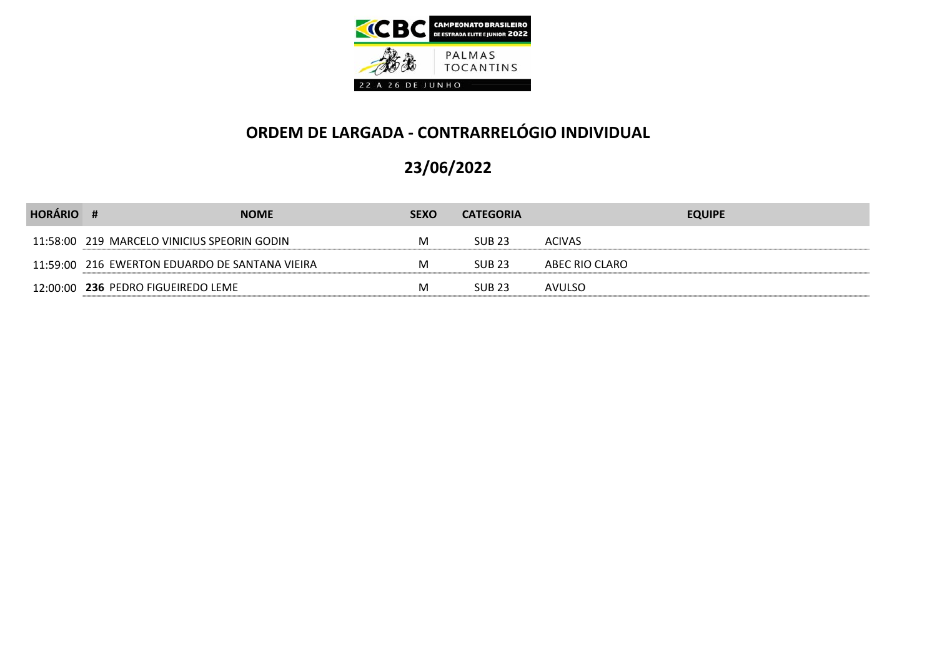

| <b>HORÁRIO</b> |                                                | <b>NOME</b> | <b>SEXO</b> | <b>CATEGORIA</b> |                | <b>EQUIPE</b> |
|----------------|------------------------------------------------|-------------|-------------|------------------|----------------|---------------|
|                | 11:58:00 219 MARCELO VINICIUS SPEORIN GODIN    |             | м           | <b>SUB 23</b>    | <b>ACIVAS</b>  |               |
|                | 11:59:00 216 EWERTON EDUARDO DE SANTANA VIEIRA |             | м           | <b>SUB 23</b>    | ABEC RIO CLARO |               |
|                | 12:00:00 236 PEDRO FIGUEIREDO LEME             |             | м           | <b>SUB 23</b>    | AVULSO         |               |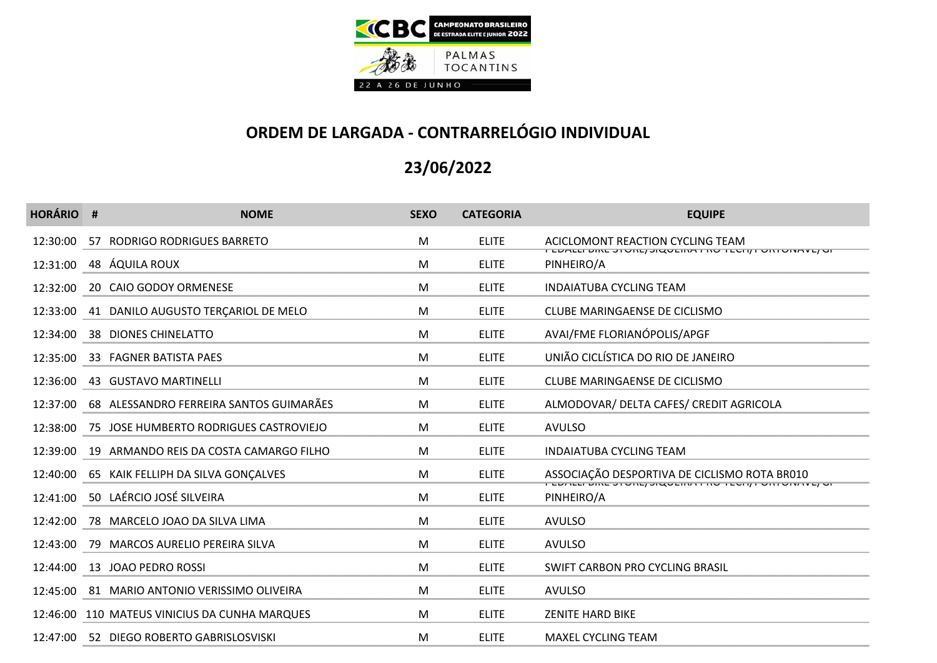

| <b>HORÁRIO #</b> | <b>NOME</b>                                     | <b>SEXO</b> | <b>CATEGORIA</b> | <b>EQUIPE</b>                                                                                                   |
|------------------|-------------------------------------------------|-------------|------------------|-----------------------------------------------------------------------------------------------------------------|
| 12:30:00         | 57 RODRIGO RODRIGUES BARRETO                    | M           | <b>ELITE</b>     | ACICLOMONT REACTION CYCLING TEAM<br>TEDTEETDIKE JI OKEJ JKQUENTTIKU TECHIJ TURITOKTU OT                         |
| 12:31:00         | 48 ÁQUILA ROUX                                  | M           | <b>ELITE</b>     | PINHEIRO/A                                                                                                      |
| 12:32:00         | 20 CAIO GODOY ORMENESE                          | M           | <b>ELITE</b>     | <b>INDAIATUBA CYCLING TEAM</b>                                                                                  |
|                  | 12:33:00 41 DANILO AUGUSTO TERCARIOL DE MELO    | M           | <b>ELITE</b>     | CLUBE MARINGAENSE DE CICLISMO                                                                                   |
| 12:34:00         | 38 DIONES CHINELATTO                            | M           | <b>ELITE</b>     | AVAI/FME FLORIANÓPOLIS/APGF                                                                                     |
| 12:35:00         | 33 FAGNER BATISTA PAES                          | M           | <b>ELITE</b>     | UNIÃO CICLÍSTICA DO RIO DE JANEIRO                                                                              |
| 12:36:00         | 43 GUSTAVO MARTINELLI                           | M           | <b>ELITE</b>     | <b>CLUBE MARINGAENSE DE CICLISMO</b>                                                                            |
| 12:37:00         | 68 ALESSANDRO FERREIRA SANTOS GUIMARÃES         | M           | <b>ELITE</b>     | ALMODOVAR/ DELTA CAFES/ CREDIT AGRICOLA                                                                         |
| 12:38:00         | 75 JOSE HUMBERTO RODRIGUES CASTROVIEJO          | M           | <b>ELITE</b>     | <b>AVULSO</b>                                                                                                   |
|                  | 12:39:00 19 ARMANDO REIS DA COSTA CAMARGO FILHO | M           | <b>ELITE</b>     | <b>INDAIATUBA CYCLING TEAM</b>                                                                                  |
| 12:40:00         | 65 KAIK FELLIPH DA SILVA GONÇALVES              | M           | <b>ELITE</b>     | ASSOCIAÇÃO DESPORTIVA DE CICLISMO ROTA BR010<br>I LUALLI DIIL JI VIILI JIQVLIIIA I IIV TLUIIII VIII VIITVITU JI |
|                  | 12:41:00 50 LAÉRCIO JOSÉ SILVEIRA               | M           | <b>ELITE</b>     | PINHEIRO/A                                                                                                      |
| 12:42:00         | 78 MARCELO JOAO DA SILVA LIMA                   | M           | <b>ELITE</b>     | <b>AVULSO</b>                                                                                                   |
|                  | 12:43:00 79 MARCOS AURELIO PEREIRA SILVA        | M           | <b>ELITE</b>     | <b>AVULSO</b>                                                                                                   |
|                  | 12:44:00  13  JOAO PEDRO ROSSI                  | M           | <b>ELITE</b>     | SWIFT CARBON PRO CYCLING BRASIL                                                                                 |
|                  | 12:45:00 81 MARIO ANTONIO VERISSIMO OLIVEIRA    | M           | <b>ELITE</b>     | <b>AVULSO</b>                                                                                                   |
|                  | 12:46:00 110 MATEUS VINICIUS DA CUNHA MARQUES   | M           | <b>ELITE</b>     | <b>ZENITE HARD BIKE</b>                                                                                         |
|                  | 12:47:00 52 DIEGO ROBERTO GABRISLOSVISKI        | M           | <b>ELITE</b>     | <b>MAXEL CYCLING TEAM</b>                                                                                       |